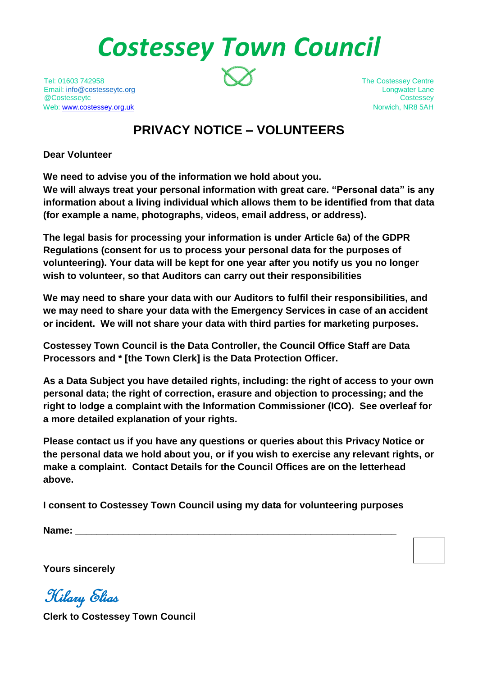# *Costessey Town Council*

Tel: 01603 742958 The Costessey Centre Email: [info@costesseytc.org](mailto:info@costesseytc.org) Longwater Lane @Costesseytc Costessey Web[: www.costessey.org.uk](http://www.costessey.org.uk/) Norwich, NR8 5AH

## **PRIVACY NOTICE – VOLUNTEERS**

**Dear Volunteer**

**We need to advise you of the information we hold about you.** 

**We will always treat your personal information with great care. "Personal data" is any information about a living individual which allows them to be identified from that data (for example a name, photographs, videos, email address, or address).** 

**The legal basis for processing your information is under Article 6a) of the GDPR Regulations (consent for us to process your personal data for the purposes of volunteering). Your data will be kept for one year after you notify us you no longer wish to volunteer, so that Auditors can carry out their responsibilities**

**We may need to share your data with our Auditors to fulfil their responsibilities, and we may need to share your data with the Emergency Services in case of an accident or incident. We will not share your data with third parties for marketing purposes.**

**Costessey Town Council is the Data Controller, the Council Office Staff are Data Processors and \* [the Town Clerk] is the Data Protection Officer.**

**As a Data Subject you have detailed rights, including: the right of access to your own personal data; the right of correction, erasure and objection to processing; and the right to lodge a complaint with the Information Commissioner (ICO). See overleaf for a more detailed explanation of your rights.**

**Please contact us if you have any questions or queries about this Privacy Notice or the personal data we hold about you, or if you wish to exercise any relevant rights, or make a complaint. Contact Details for the Council Offices are on the letterhead above.**

**I consent to Costessey Town Council using my data for volunteering purposes** 

**Name: \_\_\_\_\_\_\_\_\_\_\_\_\_\_\_\_\_\_\_\_\_\_\_\_\_\_\_\_\_\_\_\_\_\_\_\_\_\_\_\_\_\_\_\_\_\_\_\_\_\_\_\_\_\_\_\_\_\_\_\_**

**Yours sincerely**

Hilary Elias

**Clerk to Costessey Town Council**